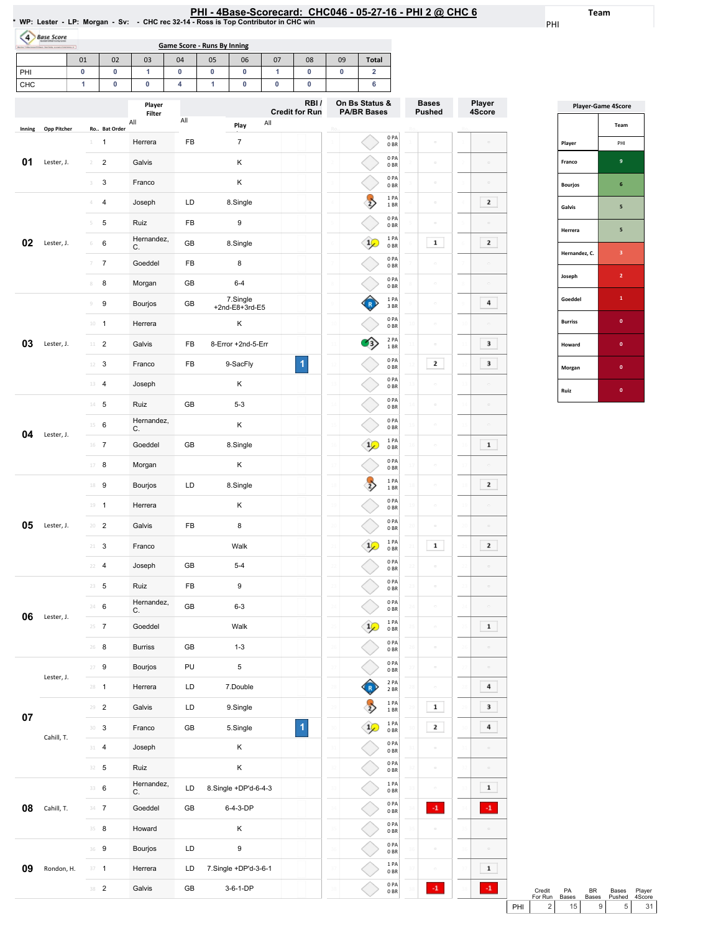| PHI - 4Base-Scorecard: CHC046 - 05-27-16 - PHI 2 @ CHC 6                                         |  |
|--------------------------------------------------------------------------------------------------|--|
| *  WP:  Lester     LP:  Morgan      Sv:       CHC rec 32-14 - Ross is Top Contributor in CHC win |  |

Team

PHI

| <b>Base Score</b>                                      |    |    |        |                                    |    |    |    |                 |    |                          |                       |                         |
|--------------------------------------------------------|----|----|--------|------------------------------------|----|----|----|-----------------|----|--------------------------|-----------------------|-------------------------|
| Borks *1 Berkens / 11 best Starfolis automotivismum of |    |    |        | <b>Game Score - Runs By Inning</b> |    |    |    |                 |    |                          |                       |                         |
|                                                        | 01 | 02 | 03     | 04                                 | 05 | 06 | 07 | 08              | 09 | <b>Total</b>             |                       |                         |
| PHI                                                    |    |    |        |                                    |    |    |    |                 |    |                          |                       |                         |
| CHC                                                    |    |    |        |                                    |    |    |    |                 |    |                          |                       |                         |
|                                                        |    |    | Player |                                    |    |    |    | RBI/<br>_ … _ _ |    | On Bs Status &<br>------ | <b>Bases</b><br>_ _ _ | Player<br>$\sim$ $\sim$ |

|        |             |                                           | гіаусі<br>Filter |     | <b>Credit for Run</b>               | <b>PA/BR Bases</b>   |                         |                 | Pushed              |                | - , -<br>4Score          |
|--------|-------------|-------------------------------------------|------------------|-----|-------------------------------------|----------------------|-------------------------|-----------------|---------------------|----------------|--------------------------|
| Inning | Opp Pitcher | Ro Bat Order                              | All              | All | All<br>Play                         |                      |                         |                 |                     |                |                          |
|        |             | 1<br>1                                    | Herrera          | FB  | $\overline{7}$                      |                      | 0PA<br>0 <sub>BR</sub>  |                 | $\circ$             |                |                          |
| 01     | Lester, J.  | $\overline{\mathbf{c}}$<br>$\overline{2}$ | Galvis           |     | Κ                                   |                      | 0PA<br>0 <sub>BR</sub>  |                 | $\hfill \square$    |                | $\hskip10mm\Box$         |
|        |             | 3<br>3                                    | Franco           |     | Κ                                   |                      | 0PA<br>0BR              |                 | $\hfill \square$    |                | $\Box$                   |
|        |             | 4                                         | Joseph           | LD  | 8.Single                            | $\overline{2}$       | 1PA<br>1 BR             |                 | $\hfill \square$    |                | 2                        |
|        |             | 5<br>5                                    | Ruiz             | FB  | 9                                   |                      | 0PA<br>0BR              |                 | $\circ$             |                | $\hfill \square$         |
| 02     | Lester, J.  | 6<br>6                                    | Hernandez,<br>С. | GB  | 8.Single                            | $\frac{1}{2}$        | 1 PA<br>0 <sub>BR</sub> |                 | 1                   |                | 2                        |
|        |             | $\boldsymbol{7}$<br>7                     | Goeddel          | FB  | 8                                   |                      | 0PA<br>0 <sub>BR</sub>  |                 | $\circ$             |                |                          |
|        |             | 8<br>$\scriptstyle\rm 8$                  | Morgan           | GB  | $6 - 4$                             |                      | 0PA<br>0 <sub>BR</sub>  | 8               | $\Box$              |                |                          |
|        |             | 9<br>$\mathcal G$                         | Bourjos          | GB  | 7.Single<br>+2nd-E8+3rd-E5          |                      | 1 PA<br>3BR             |                 | $\hfill \square$    |                | 4                        |
|        |             | $\overline{1}$<br>10                      | Herrera          |     | Κ                                   |                      | 0PA<br>0 <sub>BR</sub>  | 10              | $\hfill \square$    |                |                          |
| 03     | Lester, J.  | $\overline{c}$<br>$11\,$                  | Galvis           | FB  | 8-Error +2nd-5-Err                  | $\rightarrow$        | 2 PA<br>1 BR            | $\overline{11}$ | $\hfill \square$    | $\mathcal{A}$  | 3                        |
|        |             | 3<br>12                                   | Franco           | FB  | 1<br>9-SacFly                       | 12                   | 0PA<br>0 <sub>BR</sub>  | 1               | 2                   | $\mathbf{1}$   | 3                        |
|        |             | 13<br>$\overline{4}$                      | Joseph           |     | κ                                   |                      | 0PA<br>0 <sub>BR</sub>  |                 | $\equiv$            |                | ö                        |
|        |             | $14$ 5                                    | Ruiz             | GB  | $5 - 3$                             |                      | 0PA<br>0 <sub>BR</sub>  | $\mathcal{D}$   | $\circ$             |                |                          |
|        |             | 15<br>6                                   | Hernandez,<br>С. |     | Κ                                   |                      | 0PA<br>0 <sub>BR</sub>  | 15              | $\hfill \square$    |                | ö                        |
| 04     | Lester, J.  | $16$ 7                                    | Goeddel          | GB  | 8.Single                            | $\frac{1}{2}$        | 1 PA<br>0 <sub>BR</sub> | 16              | $\hfill \square$    |                | $\mathbf 1$              |
|        |             | 8<br>17                                   | Morgan           |     | Κ                                   |                      | 0PA<br>0BR              |                 | $\hfill \square$    |                |                          |
|        |             | 9<br>18                                   | Bourjos          | LD  | 8.Single                            | 18<br>$\overline{2}$ | 1PA<br>1 BR             | 18              | $\hfill \square$    | 18             | 2                        |
|        |             | $19 - 1$                                  | Herrera          |     | Κ                                   |                      | 0PA<br>0 <sub>BR</sub>  | 19              | $\hfill \square$    |                | $\hfill \square$         |
| 05     | Lester, J.  | $20 - 2$                                  | Galvis           | FB  | 8                                   |                      | 0PA<br>0BR              |                 | $\Box$              |                | $\sim$                   |
|        |             | 3<br>$21 -$                               | Franco           |     | Walk                                | $\frac{1}{2}$        | 1PA<br>0 <sub>BR</sub>  |                 | $\mathbf 1$         |                | 2                        |
|        |             | $\overline{4}$<br>22                      | Joseph           | GB  | $5 - 4$                             |                      | 0PA<br>0 <sub>BR</sub>  | 22              | $\Box$              |                | $\Box$                   |
|        |             | 23<br>5                                   | Ruiz             | FB  | 9                                   |                      | 0PA<br>0 <sub>BR</sub>  |                 | $\hfill \square$    |                | $\Box$                   |
|        |             | 6<br>24                                   | Hernandez,<br>C. | GB  | $6 - 3$                             |                      | 0PA<br>0 <sub>BR</sub>  | $\overline{z}$  | $\hfill \square$    |                | $\overline{\phantom{a}}$ |
| 06     | Lester, J.  | $\overline{7}$<br>25                      | Goeddel          |     | Walk                                | $\frac{1}{2}$        | 1PA<br>0 <sub>BR</sub>  |                 |                     |                | $\mathbf 1$              |
|        |             | $26$ 8                                    | <b>Burriss</b>   | GB  | $1 - 3$                             |                      | 0PA<br>0 <sub>BR</sub>  |                 | $\equiv$            |                |                          |
|        |             | $27 - 9$                                  | Bourjos          | PU  | 5                                   |                      | 0PA<br>0B               |                 | $\hfill \square$    |                | $\hfill \square$         |
|        | Lester, J.  | $28 - 1$                                  | Herrera          | LD  | 7.Double                            |                      | 2 PA<br>2 BR            | $2\xi$          | $\hfill \square$    | $\overline{2}$ | 4                        |
|        |             | $\overline{2}$<br>29                      | Galvis           | LD  | 9.Single                            | $\overline{2}$       | 1PA<br>$1\,\mathrm{BR}$ |                 | $\mathbf 1$         | $\overline{2}$ | 3                        |
| $07\,$ |             | $30-3$                                    | Franco           | GB  | $\overline{\mathbf{1}}$<br>5.Single | $1\sqrt{ }$          | 1 PA<br>0 <sub>BR</sub> |                 | 2                   |                | 4                        |
|        | Cahill, T.  | $\overline{a}$<br>31                      | Joseph           |     | Κ                                   |                      | 0PA<br>0B               |                 | $\bar{\phantom{a}}$ |                |                          |
|        |             | $32 - 5$                                  | Ruiz             |     | Κ                                   | 32                   | 0PA<br>0B               | 32              | $\circ$             | 31             | $\hfill \square$         |
|        |             | 33 6                                      | Hernandez,<br>C. | LD  | 8.Single +DP'd-6-4-3                |                      | 1 PA<br>0 <sub>BR</sub> | 33              | $\hfill \square$    |                | $\mathbf 1$              |
| 08     | Cahill, T.  | $34 \t 7$                                 | Goeddel          | GB  | 6-4-3-DP                            |                      | 0PA<br>0B               |                 | $\cdot 1$           |                | $^{\circ1}$              |
|        |             | $35 - 8$                                  | Howard           |     | Κ                                   |                      | 0PA<br>0B               | 3)              | $\hfill \square$    |                |                          |
|        |             | 36 9                                      | Bourjos          | LD  | 9                                   |                      | 0PA<br>0B               | 36              | $\equiv$            |                | $\hskip10mm\Box$         |
| 09     | Rondon, H.  | $37 - 1$                                  | Herrera          | LD  | 7.Single +DP'd-3-6-1                |                      | 1PA<br>0B               |                 | $\hfill \square$    |                | $\mathbf 1$              |
|        |             | $38$ 2                                    | Galvis           | GB  | 3-6-1-DP                            |                      | 0 PA<br>0B              |                 | $^{\circ1}$         |                | $\cdot 1$                |
|        |             |                                           |                  |     |                                     |                      |                         |                 |                     |                |                          |

|                | <b>Player-Game 4Score</b> |
|----------------|---------------------------|
|                | Team                      |
| Player         | PHI                       |
| Franco         | 9                         |
| <b>Bourjos</b> | 6                         |
| Galvis         | 5                         |
| Herrera        | 5                         |
| Hernandez, C.  | 3                         |
| Joseph         | $\overline{2}$            |
| Goeddel        | 1                         |
| <b>Burriss</b> | $\mathbf{0}$              |
| Howard         | $\mathbf{0}$              |
| Morgan         | $\mathbf{0}$              |
| Ruiz           | $\bf{0}$                  |

|     | Credit<br>For Run | PA<br><b>Bases</b> | <b>BR</b> | Bases<br>Bases Pushed 4Score | Player          |
|-----|-------------------|--------------------|-----------|------------------------------|-----------------|
| PHI | 2 <sub>1</sub>    | 15 <sub>1</sub>    | 9 I       |                              | 31 <sup>1</sup> |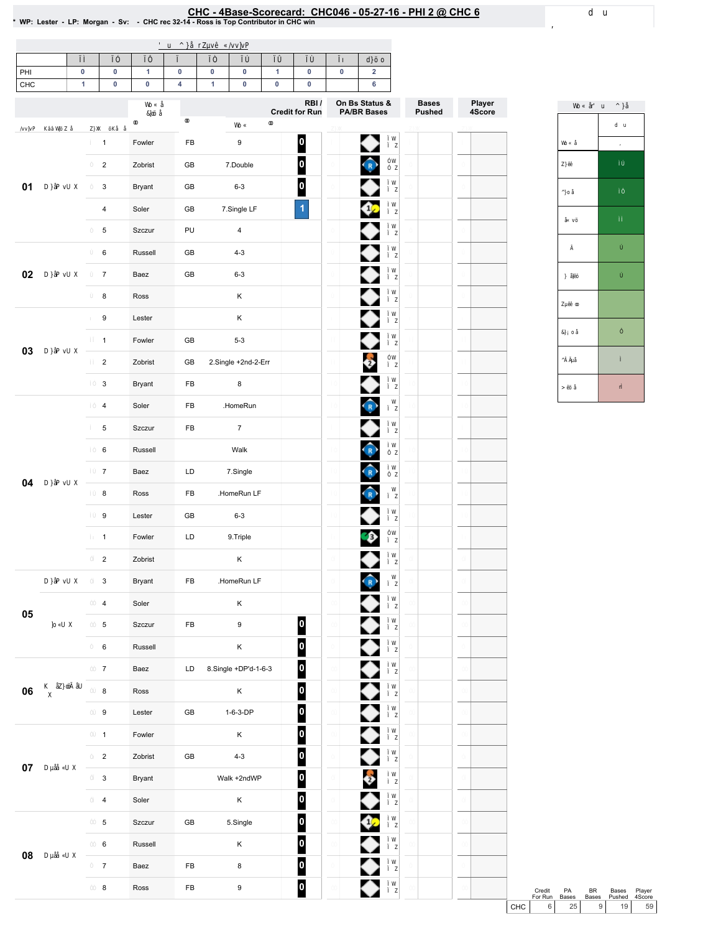## EHC - 4Base-Scorecard: CHC046 - 05-27-16 - PHI 2 @ CHC 6 في CHC-4Base-Scorecard: CHC046 - 05-27-16 - PHI 2 @ CHC<br>\* WP: Lester - LP: Morgan - Sv: - CHC rec 32-14 - Ross is Top Contributor in CHC win

| PHI    | 0<br>$\pmb{0}$<br>$\mathbf{1}$ | $\mathbf{1}$ | $\pmb{0}$<br>4 | $\pmb{0}$    | 0                       | $\mathbf{1}$ | $\pmb{0}$                                  | $\pmb{0}$ | $\overline{\mathbf{2}}$<br>6                      |                               |                  |  |
|--------|--------------------------------|--------------|----------------|--------------|-------------------------|--------------|--------------------------------------------|-----------|---------------------------------------------------|-------------------------------|------------------|--|
| CHC    | $\pmb{0}$                      | $\pmb{0}$    |                | $\mathbf{1}$ | 0                       | $\pmb{0}$    | $\pmb{0}$<br>RBI/<br><b>Credit for Run</b> |           | On Bs Status &<br><b>PA/BR Bases</b>              | <b>Bases</b><br><b>Pushed</b> | Player<br>4Score |  |
|        | $\mathbf{1}$                   | Fowler       | FB             |              | 9                       |              | 0                                          |           | ♦                                                 |                               |                  |  |
|        | $\overline{c}$                 | Zobrist      | GB             |              | 7.Double                |              | $\overline{\mathbf{0}}$                    |           | $\widehat{R}$                                     |                               |                  |  |
| 01     | $\mathsf 3$                    | Bryant       | GB             |              | $6 - 3$                 |              | $\overline{\mathbf{0}}$                    |           | ♦                                                 |                               |                  |  |
|        | 4                              | Soler        | GB             |              | 7.Single LF             |              | $\vert$                                    |           | ♦                                                 |                               |                  |  |
|        | 5                              | Szczur       | PU             |              | $\overline{\mathbf{4}}$ |              |                                            |           | ♦                                                 |                               |                  |  |
|        | 6                              | Russell      | GB             |              | $4 - 3$                 |              |                                            |           | ♦                                                 |                               |                  |  |
| $02\,$ | $\overline{7}$                 | Baez         | GB             |              | $6 - 3$                 |              |                                            |           | ♦                                                 |                               |                  |  |
|        | 8                              | Ross         |                |              | K                       |              |                                            |           | ♦                                                 |                               |                  |  |
|        | 9                              | Lester       |                |              | K                       |              |                                            |           | ♦                                                 |                               |                  |  |
|        | $\mathbf{1}$                   | Fowler       | GB             |              | $5 - 3$                 |              |                                            |           | ◆                                                 |                               |                  |  |
| 03     | $\overline{2}$                 | Zobrist      | GB             |              | 2.Single +2nd-2-Err     |              |                                            |           | $\bullet$                                         |                               |                  |  |
|        | 3                              | Bryant       | FB             |              | 8                       |              |                                            |           | ◆                                                 |                               |                  |  |
|        | 4                              | Soler        | FB             |              | .HomeRun                |              |                                            |           | $\bigodot$                                        |                               |                  |  |
|        | 5                              | Szczur       | FB             |              | $\overline{7}$          |              |                                            |           |                                                   |                               |                  |  |
|        | 6                              | Russell      |                |              | Walk                    |              |                                            |           | $\bigcirc$                                        |                               |                  |  |
|        | $\overline{7}$                 | Baez         | LD             |              | 7.Single                |              |                                            |           | $\left( \begin{matrix} 1\\ R\end{matrix} \right)$ |                               |                  |  |
| 04     | 8                              | Ross         | FB             |              | .HomeRun LF             |              |                                            |           | $\bigodot$                                        |                               |                  |  |
|        | 9                              | Lester       | GB             |              | $6 - 3$                 |              |                                            |           | ♦                                                 |                               |                  |  |
|        | $\mathbf{1}$                   | Fowler       | LD             |              | 9.Triple                |              |                                            |           | $\bullet$                                         |                               |                  |  |
|        | $\overline{2}$                 | Zobrist      |                |              | Κ                       |              |                                            |           |                                                   |                               |                  |  |
|        | 3                              | Bryant       | FB             |              | .HomeRun LF             |              |                                            |           | $\left( R \right)$                                |                               |                  |  |
|        | $\overline{\mathbf{4}}$        | Soler        |                |              | Κ                       |              |                                            |           | ◆                                                 |                               |                  |  |
| 05     | $\,$ 5 $\,$                    | Szczur       | ${\sf FB}$     |              | $\boldsymbol{9}$        |              | $\boldsymbol{0}$                           |           |                                                   |                               |                  |  |
|        | 6                              | Russell      |                |              | Κ                       |              | $\bullet$                                  |           |                                                   |                               |                  |  |
|        | $\overline{7}$                 | Baez         | LD             |              | 8.Single +DP'd-1-6-3    |              | $\overline{\mathbf{0}}$                    |           | ◆◆◆◆◆◆                                            |                               |                  |  |
| 06     | 8                              | Ross         |                |              | $\mathsf K$             |              | $\boldsymbol{0}$                           |           |                                                   |                               |                  |  |
|        | $\boldsymbol{9}$               | Lester       | GB             |              | $1-6-3-DP$              |              | $\overline{\mathbf{0}}$                    |           |                                                   |                               |                  |  |
|        | $\mathbf{1}$                   | Fowler       |                |              | Κ                       |              | $\overline{\mathbf{0}}$                    |           |                                                   |                               |                  |  |
|        | $\overline{a}$                 | Zobrist      | ${\sf GB}$     |              | $4 - 3$                 |              | $\boldsymbol{0}$                           |           | ♦                                                 |                               |                  |  |
| 07     | $\mathbf{3}$                   | Bryant       |                |              | Walk +2ndWP             |              | $\boldsymbol{0}$                           |           | 2                                                 |                               |                  |  |
|        | $\overline{\mathbf{4}}$        | Soler        |                |              | $\mathsf K$             |              | $\boldsymbol{0}$                           |           | ♦                                                 |                               |                  |  |
|        | $\,$ 5 $\,$                    | Szczur       | ${\sf GB}$     |              | 5.Single                |              | $\overline{\mathbf{0}}$                    |           |                                                   |                               |                  |  |
|        | 6                              | Russell      |                |              | Κ                       |              | $\overline{\mathbf{0}}$                    |           | $\frac{\bullet}{\bullet}$                         |                               |                  |  |
| 08     | $\overline{7}$                 | Baez         | ${\sf FB}$     |              | $\bf8$                  |              | $\bullet$                                  |           | ♦                                                 |                               |                  |  |
|        | $\bf8$                         | Ross         | ${\sf FB}$     |              | 9                       |              | $\overline{\mathbf{0}}$                    |           | ◆                                                 |                               |                  |  |

Credit PA BR Bases Player<br>
For Run Bases Bases Pushed 4Score<br>
CHC 6 25 9 19 59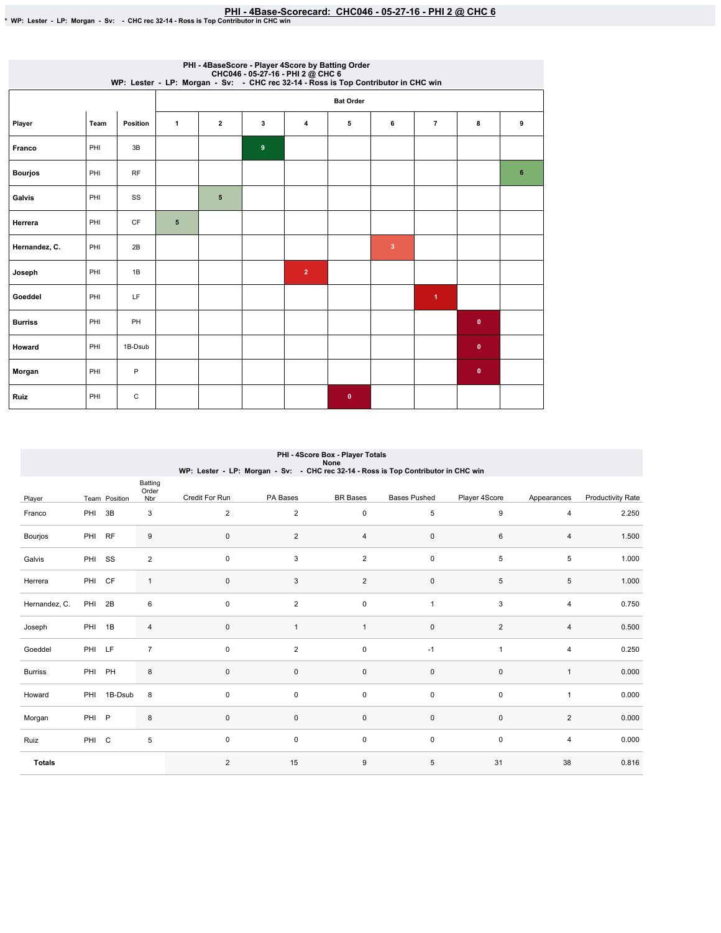## PHI-4Base-Scorecard: CHC046 - 05-27-16 - PHI 2 @ CHC 6 يسب PHI - 4Base-Scorecard: CHC046 - 05-27-16 - PHI 2 @ CHC 6<br>\* WP: Lester - LP: Morgan - Sv: - CHC rec 32-14 - Ross is Top Contributor in CHC win

|                |      |           |              |                         |                | PHI - 4BaseScore - Player 4Score by Batting Order<br>CHC046 - 05-27-16 - PHI 2 @ CHC 6<br>WP: Lester - LP: Morgan - Sv: - CHC rec 32-14 - Ross is Top Contributor in CHC win |                  |                |                      |              |                |
|----------------|------|-----------|--------------|-------------------------|----------------|------------------------------------------------------------------------------------------------------------------------------------------------------------------------------|------------------|----------------|----------------------|--------------|----------------|
|                |      |           |              |                         |                |                                                                                                                                                                              | <b>Bat Order</b> |                |                      |              |                |
| Player         | Team | Position  | $\mathbf{1}$ | $\overline{\mathbf{2}}$ | 3              | 4                                                                                                                                                                            | 5                | 6              | $\overline{7}$       | 8            | 9              |
| Franco         | PHI  | 3B        |              |                         | $\overline{9}$ |                                                                                                                                                                              |                  |                |                      |              |                |
| <b>Bourjos</b> | PHI  | <b>RF</b> |              |                         |                |                                                                                                                                                                              |                  |                |                      |              | $6\phantom{1}$ |
| Galvis         | PHI  | SS        |              | $5\phantom{1}$          |                |                                                                                                                                                                              |                  |                |                      |              |                |
| Herrera        | PHI  | CF        | 5            |                         |                |                                                                                                                                                                              |                  |                |                      |              |                |
| Hernandez, C.  | PHI  | 2B        |              |                         |                |                                                                                                                                                                              |                  | $\overline{3}$ |                      |              |                |
| Joseph         | PHI  | 1B        |              |                         |                | $\overline{2}$                                                                                                                                                               |                  |                |                      |              |                |
| Goeddel        | PHI  | LF        |              |                         |                |                                                                                                                                                                              |                  |                | $\blacktriangleleft$ |              |                |
| <b>Burriss</b> | PHI  | PH        |              |                         |                |                                                                                                                                                                              |                  |                |                      | $\mathbf{0}$ |                |
| Howard         | PHI  | 1B-Dsub   |              |                         |                |                                                                                                                                                                              |                  |                |                      | $\bullet$    |                |
| Morgan         | PHI  | P         |              |                         |                |                                                                                                                                                                              |                  |                |                      | $\mathbf{0}$ |                |
| Ruiz           | PHI  | C         |              |                         |                |                                                                                                                                                                              | $\mathbf{0}$     |                |                      |              |                |

|                | PHI - 4Score Box - Player Totals<br>None<br>WP: Lester - LP: Morgan - Sv: - CHC rec 32-14 - Ross is Top Contributor in CHC win |               |                         |                |                |                 |                     |                     |                |                          |  |  |  |  |
|----------------|--------------------------------------------------------------------------------------------------------------------------------|---------------|-------------------------|----------------|----------------|-----------------|---------------------|---------------------|----------------|--------------------------|--|--|--|--|
| Player         |                                                                                                                                | Team Position | Batting<br>Order<br>Nbr | Credit For Run | PA Bases       | <b>BR</b> Bases | <b>Bases Pushed</b> | Player 4Score       | Appearances    | <b>Productivity Rate</b> |  |  |  |  |
| Franco         | PHI 3B                                                                                                                         |               | 3                       | 2              | 2              | 0               | 5                   | 9                   | 4              | 2.250                    |  |  |  |  |
| Bourjos        | PHI RF                                                                                                                         |               | 9                       | $\mathsf 0$    | $\overline{2}$ | $\overline{4}$  | $\pmb{0}$           | 6                   | $\overline{4}$ | 1.500                    |  |  |  |  |
| Galvis         | PHI SS                                                                                                                         |               | $\overline{2}$          | $\mathsf 0$    | 3              | $\overline{2}$  | 0                   | $\,$ 5 $\,$         | 5              | 1.000                    |  |  |  |  |
| Herrera        | PHI CF                                                                                                                         |               | $\mathbf{1}$            | $\mathsf 0$    | 3              | $\overline{2}$  | 0                   | 5                   | 5              | 1.000                    |  |  |  |  |
| Hernandez, C.  | PHI 2B                                                                                                                         |               | 6                       | $\mathsf 0$    | $\overline{2}$ | 0               | $\mathbf{1}$        | 3                   | $\overline{4}$ | 0.750                    |  |  |  |  |
| Joseph         | PHI 1B                                                                                                                         |               | $\sqrt{4}$              | $\mathsf 0$    |                | $\mathbf{1}$    | 0                   | 2                   | $\overline{4}$ | 0.500                    |  |  |  |  |
| Goeddel        | PHI LF                                                                                                                         |               | $\overline{7}$          | 0              | $\overline{2}$ | 0               | $-1$                | $\mathbf{1}$        | $\overline{4}$ | 0.250                    |  |  |  |  |
| <b>Burriss</b> | PHI PH                                                                                                                         |               | 8                       | $\mathsf 0$    | $\mathbf 0$    | $\mathsf 0$     | $\pmb{0}$           | $\mathsf{O}\xspace$ | $\mathbf{1}$   | 0.000                    |  |  |  |  |
| Howard         |                                                                                                                                | PHI 1B-Dsub   | 8                       | $\mathsf 0$    | $\mathbf 0$    | 0               | 0                   | $\mathbf 0$         | $\overline{1}$ | 0.000                    |  |  |  |  |
| Morgan         | PHI P                                                                                                                          |               | 8                       | $\mathbf{0}$   | $\mathbf{0}$   | 0               | 0                   | $\mathbf 0$         | 2              | 0.000                    |  |  |  |  |
| Ruiz           | PHI C                                                                                                                          |               | 5                       | $\mathsf 0$    | 0              | 0               | 0                   | $\mathbf 0$         | $\overline{4}$ | 0.000                    |  |  |  |  |
| <b>Totals</b>  |                                                                                                                                |               |                         | 2              | 15             | 9               | 5                   | 31                  | 38             | 0.816                    |  |  |  |  |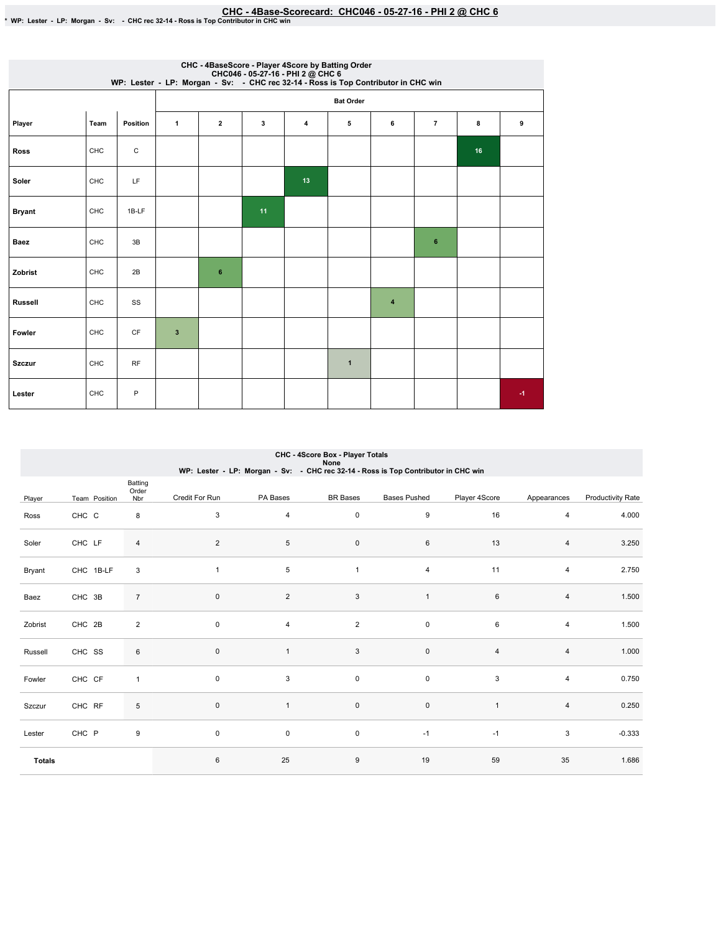|                |      |          |              |              |    |    | CHC - 4BaseScore - Player 4Score by Batting Order<br>CHC046 - 05-27-16 - PHI 2 @ CHC 6<br>WP: Lester - LP: Morgan - Sv: - CHC rec 32-14 - Ross is Top Contributor in CHC win |                |                |    |      |
|----------------|------|----------|--------------|--------------|----|----|------------------------------------------------------------------------------------------------------------------------------------------------------------------------------|----------------|----------------|----|------|
|                |      |          |              |              |    |    | <b>Bat Order</b>                                                                                                                                                             |                |                |    |      |
| Player         | Team | Position | $\mathbf{1}$ | $\mathbf{2}$ | 3  | 4  | 5                                                                                                                                                                            | 6              | $\overline{7}$ | 8  | 9    |
| <b>Ross</b>    | CHC  | С        |              |              |    |    |                                                                                                                                                                              |                |                | 16 |      |
| Soler          | CHC  | LF       |              |              |    | 13 |                                                                                                                                                                              |                |                |    |      |
| <b>Bryant</b>  | CHC  | 1B-LF    |              |              | 11 |    |                                                                                                                                                                              |                |                |    |      |
| Baez           | CHC  | 3B       |              |              |    |    |                                                                                                                                                                              |                | 6              |    |      |
| Zobrist        | CHC  | 2B       |              | 6            |    |    |                                                                                                                                                                              |                |                |    |      |
| <b>Russell</b> | CHC  | SS       |              |              |    |    |                                                                                                                                                                              | $\overline{4}$ |                |    |      |
| Fowler         | CHC  | CF       | $\mathbf{3}$ |              |    |    |                                                                                                                                                                              |                |                |    |      |
| <b>Szczur</b>  | CHC  | RF       |              |              |    |    | $\mathbf{1}$                                                                                                                                                                 |                |                |    |      |
| Lester         | CHC  | P        |              |              |    |    |                                                                                                                                                                              |                |                |    | $-1$ |

|               | CHC - 4Score Box - Player Totals<br>None<br>WP: Lester - LP: Morgan - Sv: - CHC rec 32-14 - Ross is Top Contributor in CHC win |                         |                |                |                     |                     |                |                |                          |  |  |  |  |  |
|---------------|--------------------------------------------------------------------------------------------------------------------------------|-------------------------|----------------|----------------|---------------------|---------------------|----------------|----------------|--------------------------|--|--|--|--|--|
| Player        | Team Position                                                                                                                  | Batting<br>Order<br>Nbr | Credit For Run | PA Bases       | <b>BR</b> Bases     | <b>Bases Pushed</b> | Player 4Score  | Appearances    | <b>Productivity Rate</b> |  |  |  |  |  |
| Ross          | CHC C                                                                                                                          | 8                       | $\sqrt{3}$     | 4              | $\mathsf{O}\xspace$ | 9                   | 16             | 4              | 4.000                    |  |  |  |  |  |
| Soler         | CHC LF                                                                                                                         | $\overline{4}$          | 2              | 5              | $\mathsf{O}\xspace$ | 6                   | 13             | 4              | 3.250                    |  |  |  |  |  |
| Bryant        | CHC 1B-LF                                                                                                                      | 3                       | $\mathbf{1}$   | 5              | $\mathbf{1}$        | $\overline{4}$      | 11             | 4              | 2.750                    |  |  |  |  |  |
| Baez          | CHC 3B                                                                                                                         | $\overline{7}$          | $\pmb{0}$      | $\overline{2}$ | $\sqrt{3}$          | $\mathbf{1}$        | 6              | 4              | 1.500                    |  |  |  |  |  |
| Zobrist       | CHC 2B                                                                                                                         | $\overline{2}$          | $\mathbf 0$    | $\overline{4}$ | $\overline{2}$      | $\mathsf 0$         | 6              | $\overline{4}$ | 1.500                    |  |  |  |  |  |
| Russell       | CHC SS                                                                                                                         | 6                       | $\mathbf 0$    | $\mathbf{1}$   | 3                   | $\mathsf 0$         | $\overline{4}$ | 4              | 1.000                    |  |  |  |  |  |
| Fowler        | CHC CF                                                                                                                         | $\overline{1}$          | $\mathbf 0$    | 3              | $\mathsf{O}$        | $\mathsf 0$         | 3              | 4              | 0.750                    |  |  |  |  |  |
| Szczur        | CHC RF                                                                                                                         | 5                       | $\mathbf 0$    | $\mathbf{1}$   | $\mathsf 0$         | $\mathsf 0$         | $\overline{1}$ | 4              | 0.250                    |  |  |  |  |  |
| Lester        | CHC P                                                                                                                          | 9                       | 0              | 0              | $\mathsf 0$         | $-1$                | $-1$           | 3              | $-0.333$                 |  |  |  |  |  |
| <b>Totals</b> |                                                                                                                                |                         | $\,6\,$        | 25             | 9                   | 19                  | 59             | 35             | 1.686                    |  |  |  |  |  |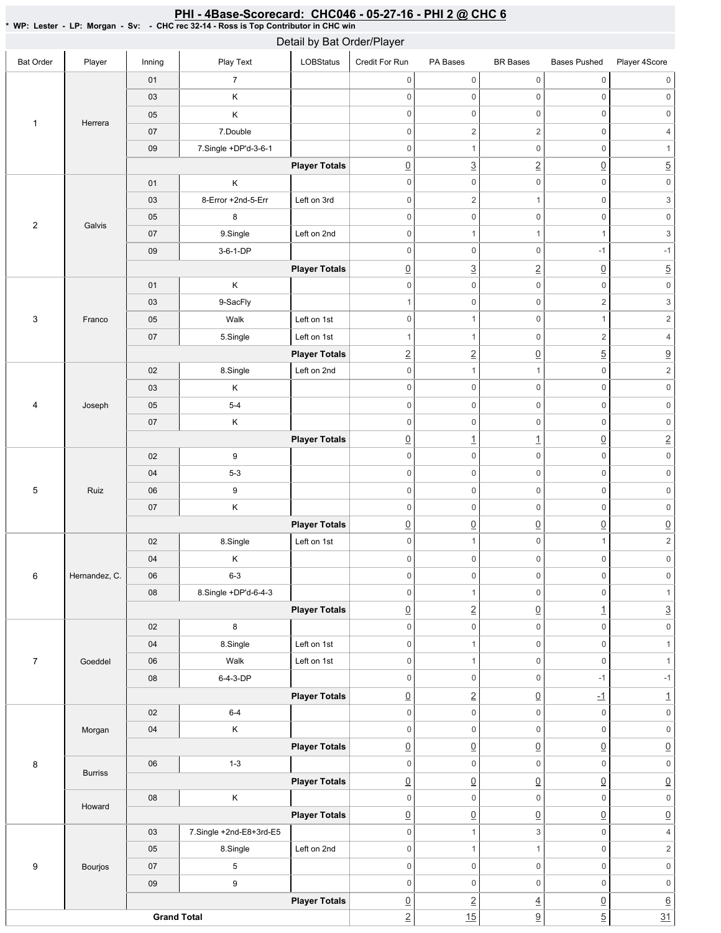|                           |                |        |                         | Detail by Bat Order/Player |                     |                     |                     |                     |                           |
|---------------------------|----------------|--------|-------------------------|----------------------------|---------------------|---------------------|---------------------|---------------------|---------------------------|
| <b>Bat Order</b>          | Player         | Inning | Play Text               | <b>LOBStatus</b>           | Credit For Run      | PA Bases            | <b>BR</b> Bases     | <b>Bases Pushed</b> | Player 4Score             |
|                           |                | 01     | $\overline{7}$          |                            | $\mathsf 0$         | $\mathsf{O}\xspace$ | 0                   | $\mathsf{O}\xspace$ | $\mathsf{O}\xspace$       |
|                           |                | 03     | Κ                       |                            | $\mathbf 0$         | $\mathsf{O}\xspace$ | 0                   | $\mathsf{O}\xspace$ | $\mathbf 0$               |
| $\mathbf{1}$              | Herrera        | 05     | Κ                       |                            | $\mathbf 0$         | $\mathsf{O}\xspace$ | 0                   | $\mathsf 0$         | $\mathbf 0$               |
|                           |                | $07\,$ | 7.Double                |                            | $\mathbf 0$         | $\overline{c}$      | $\overline{c}$      | $\mathsf 0$         | $\overline{4}$            |
|                           |                | 09     | 7.Single +DP'd-3-6-1    |                            | $\mathbf 0$         | $\mathbf{1}$        | $\mathsf{O}\xspace$ | $\mathsf{O}\xspace$ | $\mathbf{1}$              |
|                           |                |        |                         | <b>Player Totals</b>       | $\underline{0}$     | $\overline{3}$      | $\overline{2}$      | $\underline{0}$     | $\overline{5}$            |
|                           |                | 01     | Κ                       |                            | $\mathbf 0$         | $\mathsf{O}\xspace$ | 0                   | $\mathsf{O}\xspace$ | $\mathsf{O}\xspace$       |
|                           |                | 03     | 8-Error +2nd-5-Err      | Left on 3rd                | $\mathbf 0$         | $\overline{2}$      | $\mathbf{1}$        | $\mathsf{O}\xspace$ | $\ensuremath{\mathsf{3}}$ |
|                           |                | 05     | 8                       |                            | $\mathbf 0$         | $\mathsf{O}\xspace$ | 0                   | $\mathsf 0$         | $\mathsf{O}\xspace$       |
| $\sqrt{2}$                | Galvis         | 07     | 9.Single                | Left on 2nd                | $\mathbf 0$         | $\mathbf{1}$        | $\mathbf{1}$        | $\mathbf{1}$        | $\ensuremath{\mathsf{3}}$ |
|                           |                | 09     | 3-6-1-DP                |                            | $\mathbf 0$         | $\mathsf{O}\xspace$ | 0                   | $-1$                | $-1$                      |
|                           |                |        |                         | <b>Player Totals</b>       | $\underline{0}$     | $\overline{3}$      | $\overline{2}$      | $\underline{0}$     | $\overline{5}$            |
|                           |                | 01     | Κ                       |                            | $\mathsf 0$         | $\mathbf 0$         | 0                   | $\mathsf 0$         | $\mathsf{O}\xspace$       |
|                           |                | 03     | 9-SacFly                |                            | $\overline{1}$      | $\mathsf{O}\xspace$ | 0                   | $\overline{c}$      | $\ensuremath{\mathsf{3}}$ |
| $\ensuremath{\mathsf{3}}$ | Franco         | 05     | Walk                    | Left on 1st                | $\mathbf 0$         | $\mathbf{1}$        | 0                   | $\mathbf{1}$        | $\sqrt{2}$                |
|                           |                | $07\,$ | 5.Single                | Left on 1st                | $\overline{1}$      | $\mathbf{1}$        | 0                   | $\overline{c}$      | $\sqrt{4}$                |
|                           |                |        |                         | <b>Player Totals</b>       | $\overline{2}$      | $\overline{2}$      | $\underline{0}$     | $\overline{5}$      | $\overline{\partial}$     |
|                           |                | 02     | 8.Single                | Left on 2nd                | $\mathbf 0$         | $\mathbf{1}$        | $\mathbf{1}$        | $\mathbf 0$         | $\mathbf 2$               |
|                           |                | 03     | Κ                       |                            | $\mathbf 0$         | $\mathsf{O}\xspace$ | 0                   | $\mathsf{O}\xspace$ | $\mathsf{O}\xspace$       |
| $\overline{4}$            | Joseph         | 05     | $5-4$                   |                            | $\,0\,$             | $\mathsf{O}\xspace$ | 0                   | $\mathsf 0$         | $\mathsf{O}\xspace$       |
|                           |                | $07\,$ | Κ                       |                            | $\mathbf 0$         | $\mathsf{O}\xspace$ | 0                   | $\mathsf{O}\xspace$ | $\mathsf{O}\xspace$       |
|                           |                |        |                         | <b>Player Totals</b>       | $\underline{0}$     | $\overline{1}$      | $\overline{1}$      | $\underline{0}$     | $\underline{2}$           |
|                           | 02             | 9      |                         | $\mathbf 0$                | $\mathbf 0$         | 0                   | $\mathbf 0$         | $\mathsf{O}\xspace$ |                           |
|                           |                | 04     | $5 - 3$                 |                            | $\boldsymbol{0}$    | $\mathsf{O}\xspace$ | 0                   | $\mathsf 0$         | $\mathsf{O}\xspace$       |
| 5                         | Ruiz           | 06     | 9                       |                            | $\mathbf 0$         | $\mathsf{O}\xspace$ | 0                   | $\mathbf 0$         | $\mathsf{O}\xspace$       |
|                           |                | $07\,$ | Κ                       |                            | $\boldsymbol{0}$    | $\mathsf{O}\xspace$ | 0                   | $\mathsf{O}\xspace$ | $\mathsf{0}$              |
|                           |                |        |                         | <b>Player Totals</b>       | $\underline{0}$     | $\underline{0}$     | $\underline{0}$     | $\underline{0}$     | $\underline{0}$           |
|                           |                | $02\,$ | 8.Single                | Left on 1st                | $\mathbf 0$         | $\mathbf{1}$        | $\mathsf{O}\xspace$ | $\mathbf{1}$        | $\overline{c}$            |
|                           |                | 04     | Κ                       |                            | $\mathbf 0$         | $\mathsf{O}\xspace$ | $\mathsf{O}\xspace$ | $\mathsf{O}\xspace$ | 0                         |
| 6                         | Hernandez, C.  | 06     | $6 - 3$                 |                            | $\mathbb O$         | $\mathsf{O}\xspace$ | 0                   | $\mathsf 0$         | $\mathsf{O}\xspace$       |
|                           |                | 08     | 8.Single +DP'd-6-4-3    |                            | $\mathsf 0$         | $\mathbf{1}$        | $\mathsf{O}\xspace$ | $\mathbf 0$         | $\mathbf{1}$              |
|                           |                |        |                         | <b>Player Totals</b>       | $\underline{0}$     | $\overline{2}$      | $\underline{0}$     | $\overline{1}$      | $\underline{3}$           |
|                           |                | 02     | $\bf8$                  |                            | $\mathbf 0$         | $\mathsf{O}$        | 0                   | $\mathsf{O}\xspace$ | $\mathsf{O}\xspace$       |
|                           |                | 04     |                         | Left on 1st                | $\mathbf 0$         | $\mathbf{1}$        | $\mathsf{O}\xspace$ | $\mathsf{O}\xspace$ | $\mathbf{1}$              |
|                           |                |        | 8.Single<br>Walk        | Left on 1st                | $\mathbf 0$         | $\mathbf{1}$        | $\mathsf{O}\xspace$ | $\mathbf 0$         | $\mathbf{1}$              |
| $\overline{7}$            | Goeddel        | 06     |                         |                            | $\mathbf 0$         | $\mathbf 0$         | $\mathsf 0$         | $-1$                | $-1$                      |
|                           |                | 08     | 6-4-3-DP                |                            |                     |                     |                     |                     |                           |
|                           |                |        |                         | <b>Player Totals</b>       | $\underline{0}$     | $\overline{2}$      | $\underline{0}$     | $-1$                | $\overline{1}$            |
|                           |                | 02     | $6 - 4$                 |                            | $\,0\,$             | $\mathbf 0$         | $\mathsf 0$         | $\mathbf 0$         | $\mathsf{O}\xspace$       |
|                           | Morgan         | 04     | Κ                       |                            | $\mathsf{O}\xspace$ | $\mathbf 0$         | 0                   | $\mathsf{O}\xspace$ | $\mathsf{O}\xspace$       |
|                           |                |        |                         | <b>Player Totals</b>       | $\underline{0}$     | $\underline{0}$     | $\underline{0}$     | $\underline{0}$     | $\underline{0}$           |
| 8                         | <b>Burriss</b> | 06     | $1 - 3$                 |                            | $\mathsf 0$         | $\mathbf 0$         | $\mathsf 0$         | $\mathsf 0$         | $\mathsf{O}\xspace$       |
|                           |                |        |                         | <b>Player Totals</b>       | $\underline{0}$     | $\underline{0}$     | $\underline{0}$     | $\underline{0}$     | $\underline{0}$           |
|                           | Howard         | 08     | Κ                       |                            | $\mathsf 0$         | $\mathsf{O}$        | $\mathsf 0$         | $\mathbf 0$         | $\mathsf{O}\xspace$       |
|                           |                |        |                         | <b>Player Totals</b>       | $\underline{0}$     | $\underline{0}$     | $\underline{0}$     | $\underline{0}$     | $\underline{0}$           |
|                           |                | 03     | 7.Single +2nd-E8+3rd-E5 |                            | $\,0\,$             | $\mathbf{1}$        | 3                   | $\mathsf{O}\xspace$ | $\overline{4}$            |
|                           |                | 05     | 8.Single                | Left on 2nd                | $\mathbf 0$         | $\mathbf{1}$        | $\mathbf{1}$        | $\mathsf{O}\xspace$ | $\sqrt{2}$                |
| 9                         | Bourjos        | 07     | 5                       |                            | $\mathbf 0$         | $\mathbf 0$         | 0                   | $\mathsf 0$         | $\mathsf{O}\xspace$       |
|                           |                | 09     | 9                       |                            | $\mathbb O$         | $\mathbf 0$         | $\mathsf 0$         | $\mathsf 0$         | $\mathsf{O}\xspace$       |
|                           |                |        |                         | <b>Player Totals</b>       | $\underline{0}$     | $\overline{2}$      | $\underline{4}$     | $\underline{0}$     | $\underline{6}$           |
|                           |                |        | <b>Grand Total</b>      |                            | $\overline{2}$      | 15                  | $\underline{9}$     | $\overline{5}$      | 31                        |

<u>PHI - 4Base-Scorecard: CHC046 - 05-27-16 - PHI 2 @ CHC 6</u>